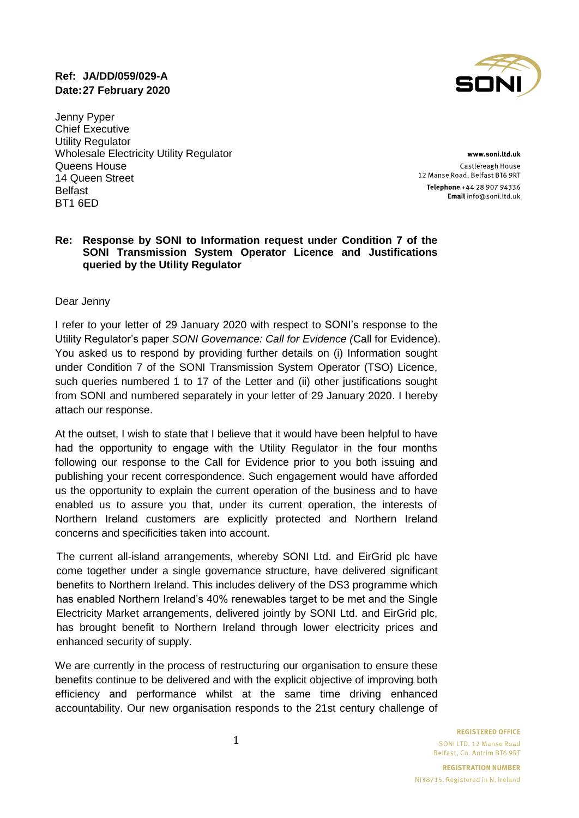# **Ref: JA/DD/059/029-A Date:27 February 2020**

Jenny Pyper Chief Executive Utility Regulator Wholesale Electricity Utility Regulator Queens House 14 Queen Street Belfast BT1 6ED

www.soni.ltd.uk Castlereagh House 12 Manse Road, Belfast BT6 9RT Telephone +44 28 907 94336 Email info@soni.ltd.uk

#### **Re: Response by SONI to Information request under Condition 7 of the SONI Transmission System Operator Licence and Justifications queried by the Utility Regulator**

#### Dear Jenny

I refer to your letter of 29 January 2020 with respect to SONI's response to the Utility Regulator's paper *SONI Governance: Call for Evidence (*Call for Evidence). You asked us to respond by providing further details on (i) Information sought under Condition 7 of the SONI Transmission System Operator (TSO) Licence, such queries numbered 1 to 17 of the Letter and (ii) other justifications sought from SONI and numbered separately in your letter of 29 January 2020. I hereby attach our response.

At the outset, I wish to state that I believe that it would have been helpful to have had the opportunity to engage with the Utility Regulator in the four months following our response to the Call for Evidence prior to you both issuing and publishing your recent correspondence. Such engagement would have afforded us the opportunity to explain the current operation of the business and to have enabled us to assure you that, under its current operation, the interests of Northern Ireland customers are explicitly protected and Northern Ireland concerns and specificities taken into account.

The current all-island arrangements, whereby SONI Ltd. and EirGrid plc have come together under a single governance structure, have delivered significant benefits to Northern Ireland. This includes delivery of the DS3 programme which has enabled Northern Ireland's 40% renewables target to be met and the Single Electricity Market arrangements, delivered jointly by SONI Ltd. and EirGrid plc, has brought benefit to Northern Ireland through lower electricity prices and enhanced security of supply.

We are currently in the process of restructuring our organisation to ensure these benefits continue to be delivered and with the explicit objective of improving both efficiency and performance whilst at the same time driving enhanced accountability. Our new organisation responds to the 21st century challenge of

**REGISTERED OFFICE** 

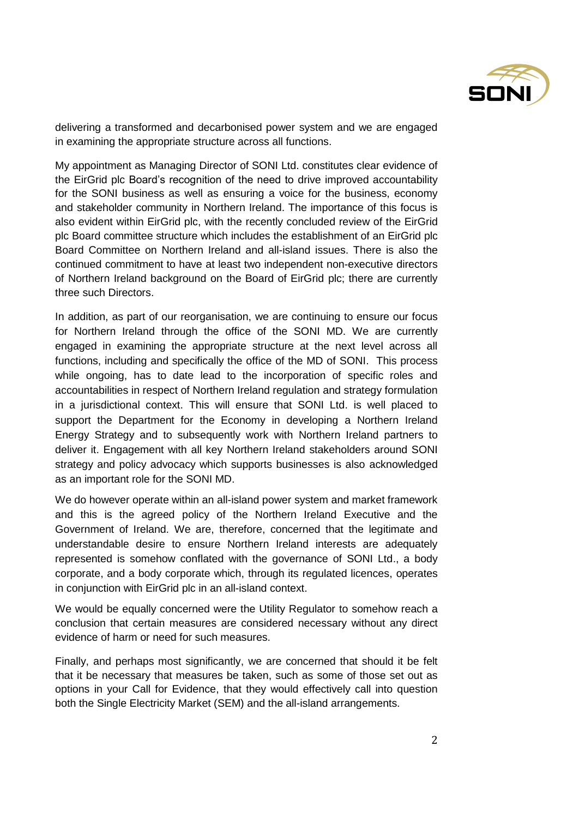

delivering a transformed and decarbonised power system and we are engaged in examining the appropriate structure across all functions.

My appointment as Managing Director of SONI Ltd. constitutes clear evidence of the EirGrid plc Board's recognition of the need to drive improved accountability for the SONI business as well as ensuring a voice for the business, economy and stakeholder community in Northern Ireland. The importance of this focus is also evident within EirGrid plc, with the recently concluded review of the EirGrid plc Board committee structure which includes the establishment of an EirGrid plc Board Committee on Northern Ireland and all-island issues. There is also the continued commitment to have at least two independent non-executive directors of Northern Ireland background on the Board of EirGrid plc; there are currently three such Directors.

In addition, as part of our reorganisation, we are continuing to ensure our focus for Northern Ireland through the office of the SONI MD. We are currently engaged in examining the appropriate structure at the next level across all functions, including and specifically the office of the MD of SONI. This process while ongoing, has to date lead to the incorporation of specific roles and accountabilities in respect of Northern Ireland regulation and strategy formulation in a jurisdictional context. This will ensure that SONI Ltd. is well placed to support the Department for the Economy in developing a Northern Ireland Energy Strategy and to subsequently work with Northern Ireland partners to deliver it. Engagement with all key Northern Ireland stakeholders around SONI strategy and policy advocacy which supports businesses is also acknowledged as an important role for the SONI MD.

We do however operate within an all-island power system and market framework and this is the agreed policy of the Northern Ireland Executive and the Government of Ireland. We are, therefore, concerned that the legitimate and understandable desire to ensure Northern Ireland interests are adequately represented is somehow conflated with the governance of SONI Ltd., a body corporate, and a body corporate which, through its regulated licences, operates in conjunction with EirGrid plc in an all-island context.

We would be equally concerned were the Utility Regulator to somehow reach a conclusion that certain measures are considered necessary without any direct evidence of harm or need for such measures.

Finally, and perhaps most significantly, we are concerned that should it be felt that it be necessary that measures be taken, such as some of those set out as options in your Call for Evidence, that they would effectively call into question both the Single Electricity Market (SEM) and the all-island arrangements.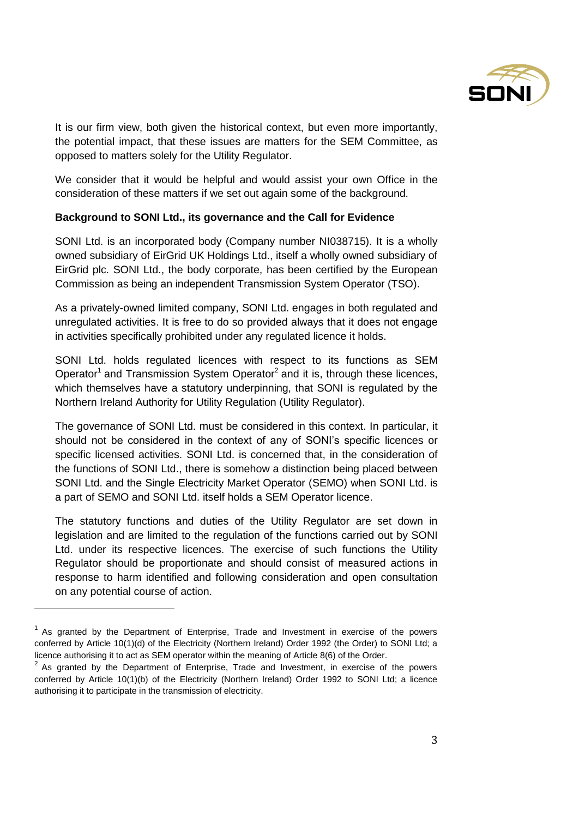

It is our firm view, both given the historical context, but even more importantly, the potential impact, that these issues are matters for the SEM Committee, as opposed to matters solely for the Utility Regulator.

We consider that it would be helpful and would assist your own Office in the consideration of these matters if we set out again some of the background.

#### **Background to SONI Ltd., its governance and the Call for Evidence**

SONI Ltd. is an incorporated body (Company number NI038715). It is a wholly owned subsidiary of EirGrid UK Holdings Ltd., itself a wholly owned subsidiary of EirGrid plc. SONI Ltd., the body corporate, has been certified by the European Commission as being an independent Transmission System Operator (TSO).

As a privately-owned limited company, SONI Ltd. engages in both regulated and unregulated activities. It is free to do so provided always that it does not engage in activities specifically prohibited under any regulated licence it holds.

SONI Ltd. holds regulated licences with respect to its functions as SEM Operator<sup>1</sup> and Transmission System Operator<sup>2</sup> and it is, through these licences, which themselves have a statutory underpinning, that SONI is regulated by the Northern Ireland Authority for Utility Regulation (Utility Regulator).

The governance of SONI Ltd. must be considered in this context. In particular, it should not be considered in the context of any of SONI's specific licences or specific licensed activities. SONI Ltd. is concerned that, in the consideration of the functions of SONI Ltd., there is somehow a distinction being placed between SONI Ltd. and the Single Electricity Market Operator (SEMO) when SONI Ltd. is a part of SEMO and SONI Ltd. itself holds a SEM Operator licence.

The statutory functions and duties of the Utility Regulator are set down in legislation and are limited to the regulation of the functions carried out by SONI Ltd. under its respective licences. The exercise of such functions the Utility Regulator should be proportionate and should consist of measured actions in response to harm identified and following consideration and open consultation on any potential course of action.

l

 $1$  As granted by the Department of Enterprise, Trade and Investment in exercise of the powers conferred by Article 10(1)(d) of the Electricity (Northern Ireland) Order 1992 (the Order) to SONI Ltd; a licence authorising it to act as SEM operator within the meaning of Article 8(6) of the Order.

 $2$  As granted by the Department of Enterprise, Trade and Investment, in exercise of the powers conferred by Article 10(1)(b) of the Electricity (Northern Ireland) Order 1992 to SONI Ltd; a licence authorising it to participate in the transmission of electricity.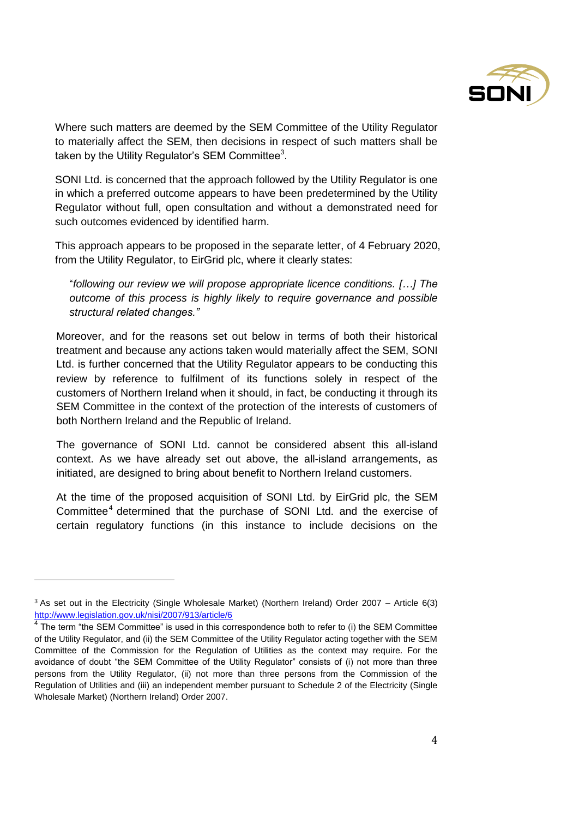

Where such matters are deemed by the SEM Committee of the Utility Regulator to materially affect the SEM, then decisions in respect of such matters shall be taken by the Utility Regulator's SEM Committee<sup>3</sup>.

SONI Ltd. is concerned that the approach followed by the Utility Regulator is one in which a preferred outcome appears to have been predetermined by the Utility Regulator without full, open consultation and without a demonstrated need for such outcomes evidenced by identified harm.

This approach appears to be proposed in the separate letter, of 4 February 2020, from the Utility Regulator, to EirGrid plc, where it clearly states:

"*following our review we will propose appropriate licence conditions. […] The outcome of this process is highly likely to require governance and possible structural related changes."*

Moreover, and for the reasons set out below in terms of both their historical treatment and because any actions taken would materially affect the SEM, SONI Ltd. is further concerned that the Utility Regulator appears to be conducting this review by reference to fulfilment of its functions solely in respect of the customers of Northern Ireland when it should, in fact, be conducting it through its SEM Committee in the context of the protection of the interests of customers of both Northern Ireland and the Republic of Ireland.

The governance of SONI Ltd. cannot be considered absent this all-island context. As we have already set out above, the all-island arrangements, as initiated, are designed to bring about benefit to Northern Ireland customers.

At the time of the proposed acquisition of SONI Ltd. by EirGrid plc, the SEM Committee<sup>4</sup> determined that the purchase of SONI Ltd. and the exercise of certain regulatory functions (in this instance to include decisions on the

 $\overline{\phantom{a}}$ 

 $3$  As set out in the Electricity (Single Wholesale Market) (Northern Ireland) Order 2007 – Article 6(3) [http://www.legislation.gov.uk/nisi/2007/913/article/6](about:blank) 

 $4$  The term "the SEM Committee" is used in this correspondence both to refer to (i) the SEM Committee of the Utility Regulator, and (ii) the SEM Committee of the Utility Regulator acting together with the SEM Committee of the Commission for the Regulation of Utilities as the context may require. For the avoidance of doubt "the SEM Committee of the Utility Regulator" consists of (i) not more than three persons from the Utility Regulator, (ii) not more than three persons from the Commission of the Regulation of Utilities and (iii) an independent member pursuant to Schedule 2 of the Electricity (Single Wholesale Market) (Northern Ireland) Order 2007.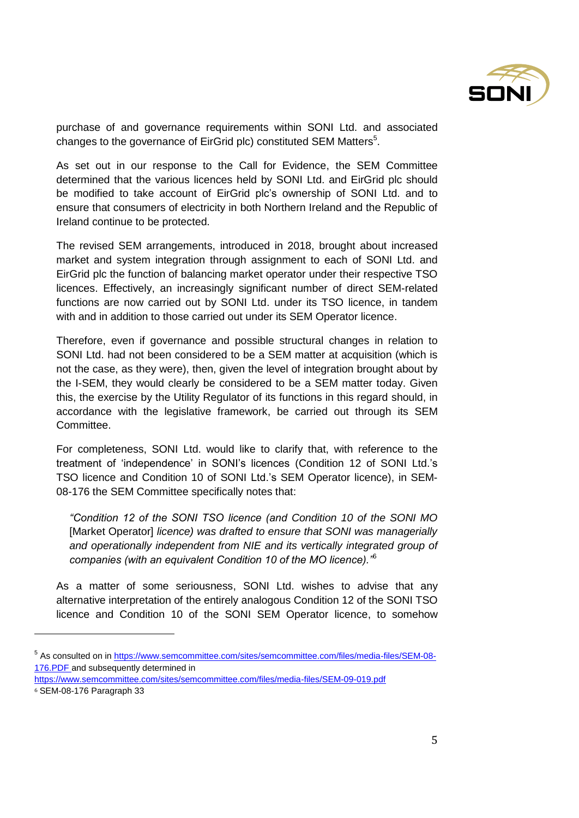

purchase of and governance requirements within SONI Ltd. and associated changes to the governance of EirGrid plc) constituted SEM Matters<sup>5</sup>.

As set out in our response to the Call for Evidence, the SEM Committee determined that the various licences held by SONI Ltd. and EirGrid plc should be modified to take account of EirGrid plc's ownership of SONI Ltd. and to ensure that consumers of electricity in both Northern Ireland and the Republic of Ireland continue to be protected.

The revised SEM arrangements, introduced in 2018, brought about increased market and system integration through assignment to each of SONI Ltd. and EirGrid plc the function of balancing market operator under their respective TSO licences. Effectively, an increasingly significant number of direct SEM-related functions are now carried out by SONI Ltd. under its TSO licence, in tandem with and in addition to those carried out under its SEM Operator licence.

Therefore, even if governance and possible structural changes in relation to SONI Ltd. had not been considered to be a SEM matter at acquisition (which is not the case, as they were), then, given the level of integration brought about by the I-SEM, they would clearly be considered to be a SEM matter today. Given this, the exercise by the Utility Regulator of its functions in this regard should, in accordance with the legislative framework, be carried out through its SEM Committee.

For completeness, SONI Ltd. would like to clarify that, with reference to the treatment of 'independence' in SONI's licences (Condition 12 of SONI Ltd.'s TSO licence and Condition 10 of SONI Ltd.'s SEM Operator licence), in SEM-08-176 the SEM Committee specifically notes that:

*"Condition 12 of the SONI TSO licence (and Condition 10 of the SONI MO* [Market Operator] *licence) was drafted to ensure that SONI was managerially and operationally independent from NIE and its vertically integrated group of companies (with an equivalent Condition 10 of the MO licence)."*<sup>6</sup>

As a matter of some seriousness, SONI Ltd. wishes to advise that any alternative interpretation of the entirely analogous Condition 12 of the SONI TSO licence and Condition 10 of the SONI SEM Operator licence, to somehow

l

<sup>&</sup>lt;sup>5</sup> As consulted on in [https://www.semcommittee.com/sites/semcommittee.com/files/media-files/SEM-08-](about:blank) [176.PDF](about:blank) and subsequently determined in

[https://www.semcommittee.com/sites/semcommittee.com/files/media-files/SEM-09-019.pdf](about:blank)

<sup>6</sup> SEM-08-176 Paragraph 33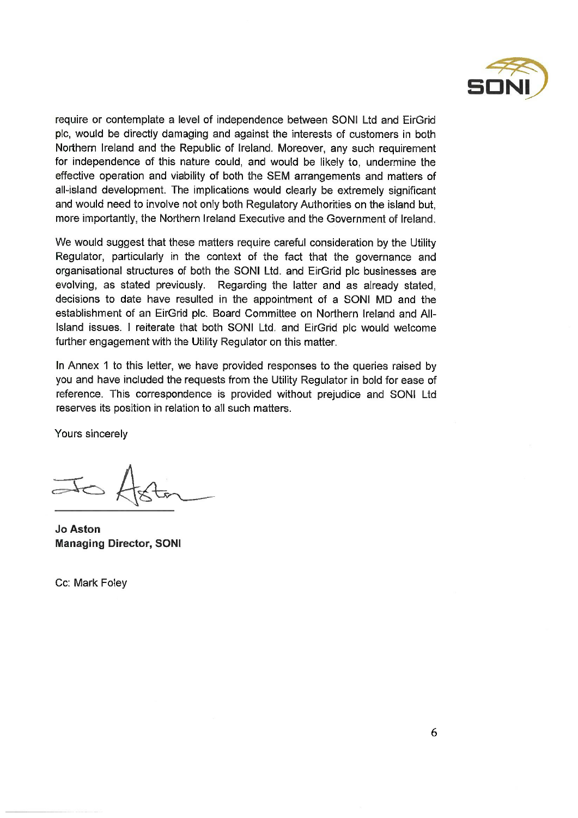

require or contemplate a level of independence between SONI Ltd and EirGrid plc, would be directly damaging and against the interests of customers in both Northern Ireland and the Republic of Ireland. Moreover, any such requirement for independence of this nature could, and would be likely to, undermine the effective operation and viability of both the SEM arrangements and matters of all-island development. The implications would clearly be extremely significant and would need to involve not only both Regulatory Authorities on the island but, more importantly, the Northern Ireland Executive and the Government of Ireland.

We would suggest that these matters require careful consideration by the Utility Regulator, particularly in the context of the fact that the governance and organisational structures of both the SONI Ltd. and EirGrid plc businesses are evolving, as stated previously. Regarding the latter and as already stated, decisions to date have resulted in the appointment of a SONI MD and the establishment of an EirGrid plc. Board Committee on Northern Ireland and All-Island issues. I reiterate that both SONI Ltd. and EirGrid plc would welcome further engagement with the Utility Regulator on this matter.

In Annex 1 to this letter, we have provided responses to the queries raised by you and have included the requests from the Utility Regulator in bold for ease of reference. This correspondence is provided without prejudice and SONI Ltd reserves its position in relation to all such matters.

Yours sincerely

**Jo Aston Managing Director, SONI** 

Cc: Mark Folev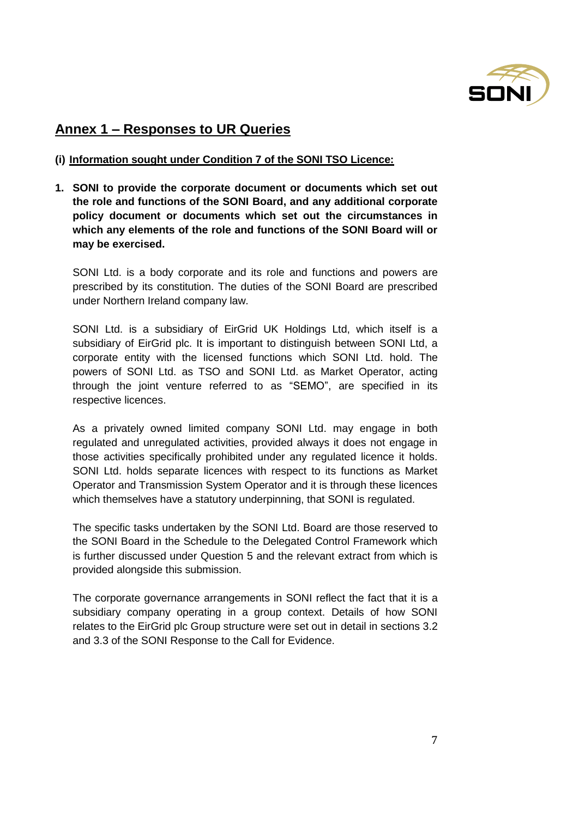

# **Annex 1 – Responses to UR Queries**

### **(i) Information sought under Condition 7 of the SONI TSO Licence:**

**1. SONI to provide the corporate document or documents which set out the role and functions of the SONI Board, and any additional corporate policy document or documents which set out the circumstances in which any elements of the role and functions of the SONI Board will or may be exercised.**

SONI Ltd. is a body corporate and its role and functions and powers are prescribed by its constitution. The duties of the SONI Board are prescribed under Northern Ireland company law.

SONI Ltd. is a subsidiary of EirGrid UK Holdings Ltd, which itself is a subsidiary of EirGrid plc. It is important to distinguish between SONI Ltd, a corporate entity with the licensed functions which SONI Ltd. hold. The powers of SONI Ltd. as TSO and SONI Ltd. as Market Operator, acting through the joint venture referred to as "SEMO", are specified in its respective licences.

As a privately owned limited company SONI Ltd. may engage in both regulated and unregulated activities, provided always it does not engage in those activities specifically prohibited under any regulated licence it holds. SONI Ltd. holds separate licences with respect to its functions as Market Operator and Transmission System Operator and it is through these licences which themselves have a statutory underpinning, that SONI is regulated.

The specific tasks undertaken by the SONI Ltd. Board are those reserved to the SONI Board in the Schedule to the Delegated Control Framework which is further discussed under Question 5 and the relevant extract from which is provided alongside this submission.

The corporate governance arrangements in SONI reflect the fact that it is a subsidiary company operating in a group context. Details of how SONI relates to the EirGrid plc Group structure were set out in detail in sections 3.2 and 3.3 of the SONI Response to the Call for Evidence.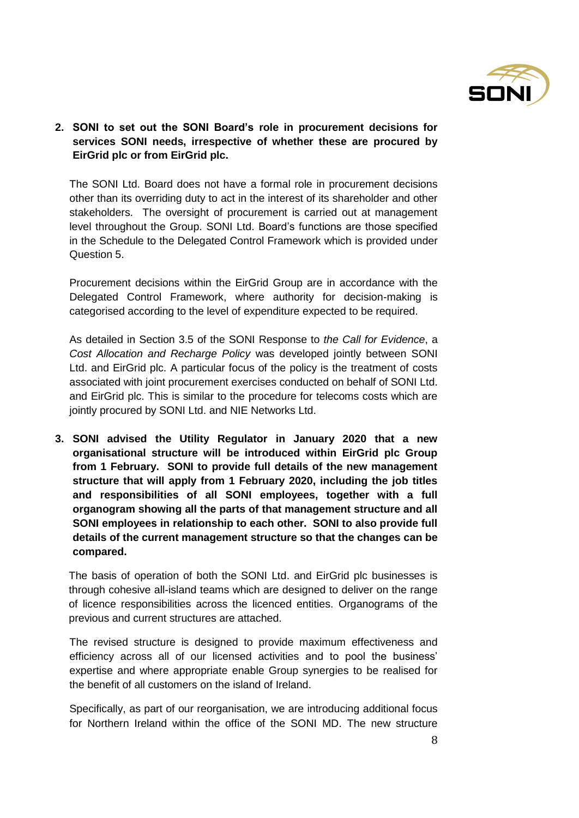

**2. SONI to set out the SONI Board's role in procurement decisions for services SONI needs, irrespective of whether these are procured by EirGrid plc or from EirGrid plc.**

The SONI Ltd. Board does not have a formal role in procurement decisions other than its overriding duty to act in the interest of its shareholder and other stakeholders. The oversight of procurement is carried out at management level throughout the Group. SONI Ltd. Board's functions are those specified in the Schedule to the Delegated Control Framework which is provided under Question 5.

Procurement decisions within the EirGrid Group are in accordance with the Delegated Control Framework, where authority for decision-making is categorised according to the level of expenditure expected to be required.

As detailed in Section 3.5 of the SONI Response to *the Call for Evidence*, a *Cost Allocation and Recharge Policy* was developed jointly between SONI Ltd. and EirGrid plc. A particular focus of the policy is the treatment of costs associated with joint procurement exercises conducted on behalf of SONI Ltd. and EirGrid plc. This is similar to the procedure for telecoms costs which are jointly procured by SONI Ltd. and NIE Networks Ltd.

**3. SONI advised the Utility Regulator in January 2020 that a new organisational structure will be introduced within EirGrid plc Group from 1 February. SONI to provide full details of the new management structure that will apply from 1 February 2020, including the job titles and responsibilities of all SONI employees, together with a full organogram showing all the parts of that management structure and all SONI employees in relationship to each other. SONI to also provide full details of the current management structure so that the changes can be compared.**

The basis of operation of both the SONI Ltd. and EirGrid plc businesses is through cohesive all-island teams which are designed to deliver on the range of licence responsibilities across the licenced entities. Organograms of the previous and current structures are attached.

The revised structure is designed to provide maximum effectiveness and efficiency across all of our licensed activities and to pool the business' expertise and where appropriate enable Group synergies to be realised for the benefit of all customers on the island of Ireland.

Specifically, as part of our reorganisation, we are introducing additional focus for Northern Ireland within the office of the SONI MD. The new structure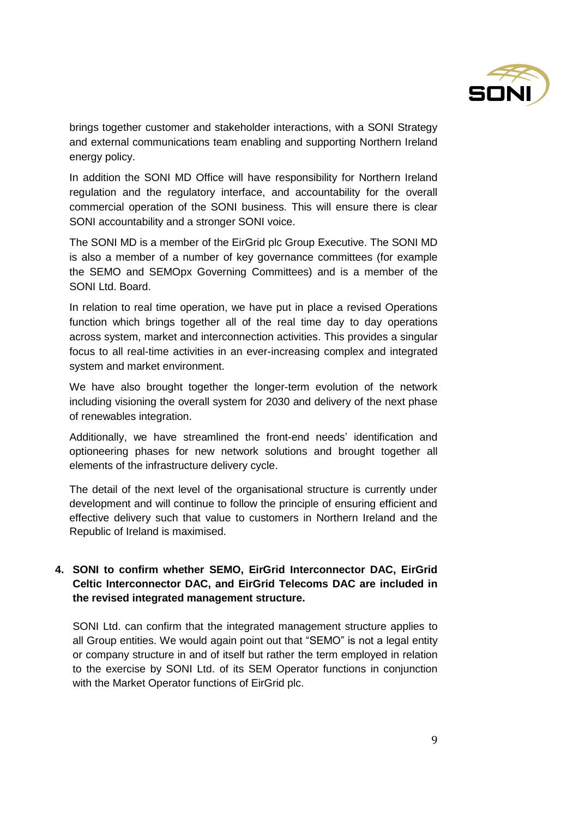

brings together customer and stakeholder interactions, with a SONI Strategy and external communications team enabling and supporting Northern Ireland energy policy.

In addition the SONI MD Office will have responsibility for Northern Ireland regulation and the regulatory interface, and accountability for the overall commercial operation of the SONI business. This will ensure there is clear SONI accountability and a stronger SONI voice.

The SONI MD is a member of the EirGrid plc Group Executive. The SONI MD is also a member of a number of key governance committees (for example the SEMO and SEMOpx Governing Committees) and is a member of the SONI Ltd. Board.

In relation to real time operation, we have put in place a revised Operations function which brings together all of the real time day to day operations across system, market and interconnection activities. This provides a singular focus to all real-time activities in an ever-increasing complex and integrated system and market environment.

We have also brought together the longer-term evolution of the network including visioning the overall system for 2030 and delivery of the next phase of renewables integration.

Additionally, we have streamlined the front-end needs' identification and optioneering phases for new network solutions and brought together all elements of the infrastructure delivery cycle.

The detail of the next level of the organisational structure is currently under development and will continue to follow the principle of ensuring efficient and effective delivery such that value to customers in Northern Ireland and the Republic of Ireland is maximised.

# **4. SONI to confirm whether SEMO, EirGrid Interconnector DAC, EirGrid Celtic Interconnector DAC, and EirGrid Telecoms DAC are included in the revised integrated management structure.**

SONI Ltd. can confirm that the integrated management structure applies to all Group entities. We would again point out that "SEMO" is not a legal entity or company structure in and of itself but rather the term employed in relation to the exercise by SONI Ltd. of its SEM Operator functions in conjunction with the Market Operator functions of EirGrid plc.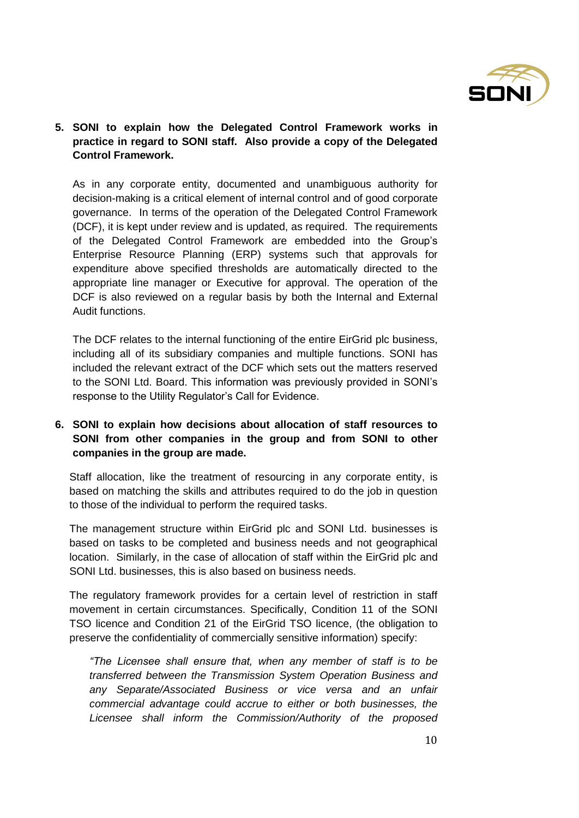

# **5. SONI to explain how the Delegated Control Framework works in practice in regard to SONI staff. Also provide a copy of the Delegated Control Framework.**

As in any corporate entity, documented and unambiguous authority for decision-making is a critical element of internal control and of good corporate governance. In terms of the operation of the Delegated Control Framework (DCF), it is kept under review and is updated, as required. The requirements of the Delegated Control Framework are embedded into the Group's Enterprise Resource Planning (ERP) systems such that approvals for expenditure above specified thresholds are automatically directed to the appropriate line manager or Executive for approval. The operation of the DCF is also reviewed on a regular basis by both the Internal and External Audit functions.

The DCF relates to the internal functioning of the entire EirGrid plc business, including all of its subsidiary companies and multiple functions. SONI has included the relevant extract of the DCF which sets out the matters reserved to the SONI Ltd. Board. This information was previously provided in SONI's response to the Utility Regulator's Call for Evidence.

# **6. SONI to explain how decisions about allocation of staff resources to SONI from other companies in the group and from SONI to other companies in the group are made.**

Staff allocation, like the treatment of resourcing in any corporate entity, is based on matching the skills and attributes required to do the job in question to those of the individual to perform the required tasks.

The management structure within EirGrid plc and SONI Ltd. businesses is based on tasks to be completed and business needs and not geographical location. Similarly, in the case of allocation of staff within the EirGrid plc and SONI Ltd. businesses, this is also based on business needs.

The regulatory framework provides for a certain level of restriction in staff movement in certain circumstances. Specifically, Condition 11 of the SONI TSO licence and Condition 21 of the EirGrid TSO licence, (the obligation to preserve the confidentiality of commercially sensitive information) specify:

*"The Licensee shall ensure that, when any member of staff is to be transferred between the Transmission System Operation Business and any Separate/Associated Business or vice versa and an unfair commercial advantage could accrue to either or both businesses, the Licensee shall inform the Commission/Authority of the proposed*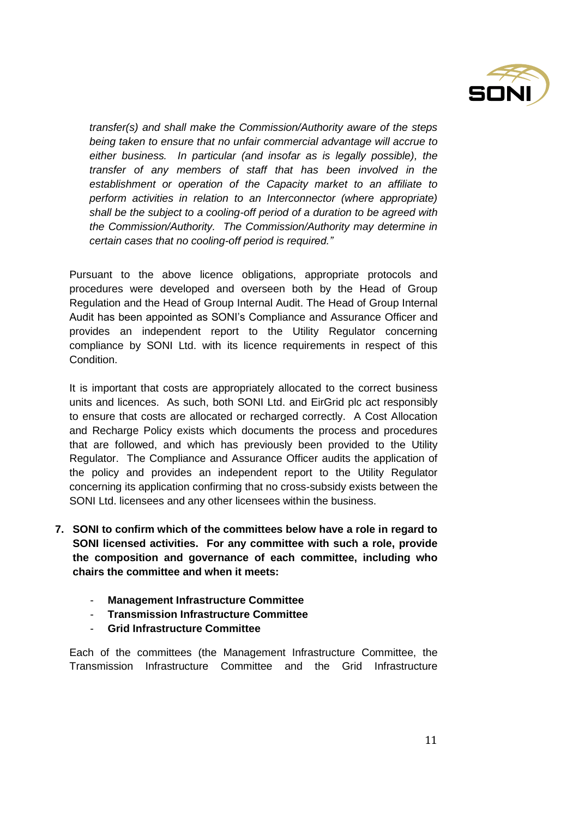

*transfer(s) and shall make the Commission/Authority aware of the steps being taken to ensure that no unfair commercial advantage will accrue to either business. In particular (and insofar as is legally possible), the transfer of any members of staff that has been involved in the establishment or operation of the Capacity market to an affiliate to perform activities in relation to an Interconnector (where appropriate) shall be the subject to a cooling-off period of a duration to be agreed with the Commission/Authority. The Commission/Authority may determine in certain cases that no cooling-off period is required."*

Pursuant to the above licence obligations, appropriate protocols and procedures were developed and overseen both by the Head of Group Regulation and the Head of Group Internal Audit. The Head of Group Internal Audit has been appointed as SONI's Compliance and Assurance Officer and provides an independent report to the Utility Regulator concerning compliance by SONI Ltd. with its licence requirements in respect of this Condition.

It is important that costs are appropriately allocated to the correct business units and licences. As such, both SONI Ltd. and EirGrid plc act responsibly to ensure that costs are allocated or recharged correctly. A Cost Allocation and Recharge Policy exists which documents the process and procedures that are followed, and which has previously been provided to the Utility Regulator. The Compliance and Assurance Officer audits the application of the policy and provides an independent report to the Utility Regulator concerning its application confirming that no cross-subsidy exists between the SONI Ltd. licensees and any other licensees within the business.

- **7. SONI to confirm which of the committees below have a role in regard to SONI licensed activities. For any committee with such a role, provide the composition and governance of each committee, including who chairs the committee and when it meets:**
	- **Management Infrastructure Committee**
	- **Transmission Infrastructure Committee**
	- **Grid Infrastructure Committee**

Each of the committees (the Management Infrastructure Committee, the Transmission Infrastructure Committee and the Grid Infrastructure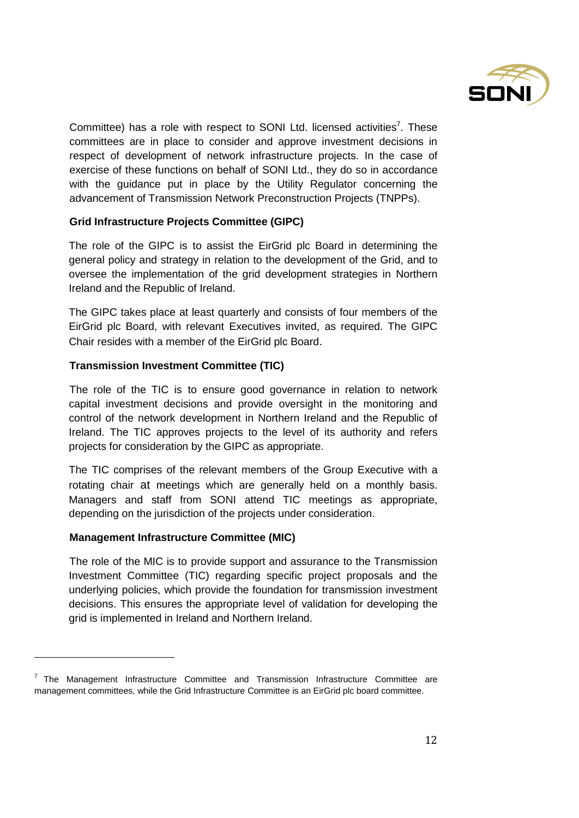

Committee) has a role with respect to SONI Ltd. licensed activities<sup>7</sup>. These committees are in place to consider and approve investment decisions in respect of development of network infrastructure projects. In the case of exercise of these functions on behalf of SONI Ltd., they do so in accordance with the guidance put in place by the Utility Regulator concerning the advancement of Transmission Network Preconstruction Projects (TNPPs).

### **Grid Infrastructure Projects Committee (GIPC)**

The role of the GIPC is to assist the EirGrid plc Board in determining the general policy and strategy in relation to the development of the Grid, and to oversee the implementation of the grid development strategies in Northern Ireland and the Republic of Ireland.

The GIPC takes place at least quarterly and consists of four members of the EirGrid plc Board, with relevant Executives invited, as required. The GIPC Chair resides with a member of the EirGrid plc Board.

### **Transmission Investment Committee (TIC)**

The role of the TIC is to ensure good governance in relation to network capital investment decisions and provide oversight in the monitoring and control of the network development in Northern Ireland and the Republic of Ireland. The TIC approves projects to the level of its authority and refers projects for consideration by the GIPC as appropriate.

The TIC comprises of the relevant members of the Group Executive with a rotating chair at meetings which are generally held on a monthly basis. Managers and staff from SONI attend TIC meetings as appropriate, depending on the jurisdiction of the projects under consideration.

#### **Management Infrastructure Committee (MIC)**

l

The role of the MIC is to provide support and assurance to the Transmission Investment Committee (TIC) regarding specific project proposals and the underlying policies, which provide the foundation for transmission investment decisions. This ensures the appropriate level of validation for developing the grid is implemented in Ireland and Northern Ireland.

<sup>7</sup> The Management Infrastructure Committee and Transmission Infrastructure Committee are management committees, while the Grid Infrastructure Committee is an EirGrid plc board committee.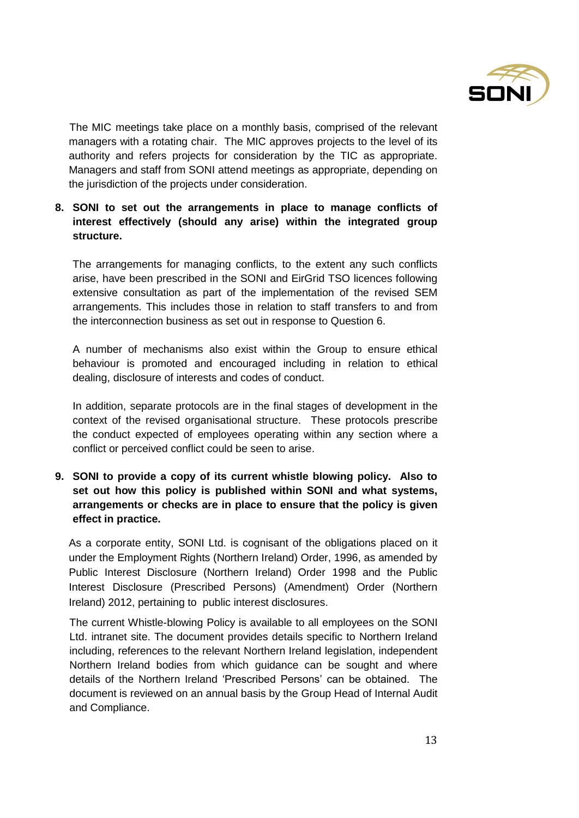

The MIC meetings take place on a monthly basis, comprised of the relevant managers with a rotating chair. The MIC approves projects to the level of its authority and refers projects for consideration by the TIC as appropriate. Managers and staff from SONI attend meetings as appropriate, depending on the jurisdiction of the projects under consideration.

**8. SONI to set out the arrangements in place to manage conflicts of interest effectively (should any arise) within the integrated group structure.**

The arrangements for managing conflicts, to the extent any such conflicts arise, have been prescribed in the SONI and EirGrid TSO licences following extensive consultation as part of the implementation of the revised SEM arrangements. This includes those in relation to staff transfers to and from the interconnection business as set out in response to Question 6.

A number of mechanisms also exist within the Group to ensure ethical behaviour is promoted and encouraged including in relation to ethical dealing, disclosure of interests and codes of conduct.

In addition, separate protocols are in the final stages of development in the context of the revised organisational structure. These protocols prescribe the conduct expected of employees operating within any section where a conflict or perceived conflict could be seen to arise.

**9. SONI to provide a copy of its current whistle blowing policy. Also to set out how this policy is published within SONI and what systems, arrangements or checks are in place to ensure that the policy is given effect in practice.**

As a corporate entity, SONI Ltd. is cognisant of the obligations placed on it under the Employment Rights (Northern Ireland) Order, 1996, as amended by Public Interest Disclosure (Northern Ireland) Order 1998 and the Public Interest Disclosure (Prescribed Persons) (Amendment) Order (Northern Ireland) 2012, pertaining to public interest disclosures.

The current Whistle-blowing Policy is available to all employees on the SONI Ltd. intranet site. The document provides details specific to Northern Ireland including, references to the relevant Northern Ireland legislation, independent Northern Ireland bodies from which guidance can be sought and where details of the Northern Ireland 'Prescribed Persons' can be obtained. The document is reviewed on an annual basis by the Group Head of Internal Audit and Compliance.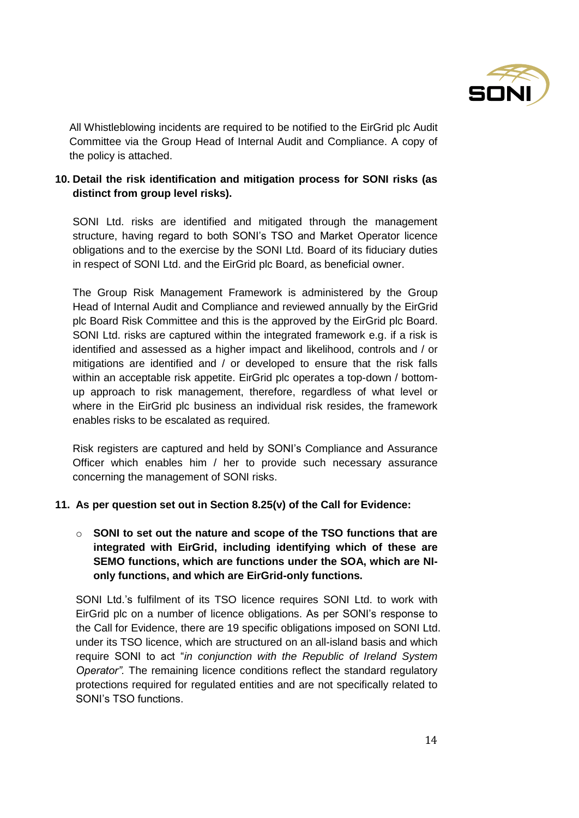

All Whistleblowing incidents are required to be notified to the EirGrid plc Audit Committee via the Group Head of Internal Audit and Compliance. A copy of the policy is attached.

# **10. Detail the risk identification and mitigation process for SONI risks (as distinct from group level risks).**

SONI Ltd. risks are identified and mitigated through the management structure, having regard to both SONI's TSO and Market Operator licence obligations and to the exercise by the SONI Ltd. Board of its fiduciary duties in respect of SONI Ltd. and the EirGrid plc Board, as beneficial owner.

The Group Risk Management Framework is administered by the Group Head of Internal Audit and Compliance and reviewed annually by the EirGrid plc Board Risk Committee and this is the approved by the EirGrid plc Board. SONI Ltd. risks are captured within the integrated framework e.g. if a risk is identified and assessed as a higher impact and likelihood, controls and / or mitigations are identified and / or developed to ensure that the risk falls within an acceptable risk appetite. EirGrid plc operates a top-down / bottomup approach to risk management, therefore, regardless of what level or where in the EirGrid plc business an individual risk resides, the framework enables risks to be escalated as required.

Risk registers are captured and held by SONI's Compliance and Assurance Officer which enables him / her to provide such necessary assurance concerning the management of SONI risks.

#### **11. As per question set out in Section 8.25(v) of the Call for Evidence:**

# o **SONI to set out the nature and scope of the TSO functions that are integrated with EirGrid, including identifying which of these are SEMO functions, which are functions under the SOA, which are NIonly functions, and which are EirGrid-only functions.**

SONI Ltd.'s fulfilment of its TSO licence requires SONI Ltd. to work with EirGrid plc on a number of licence obligations. As per SONI's response to the Call for Evidence, there are 19 specific obligations imposed on SONI Ltd. under its TSO licence, which are structured on an all-island basis and which require SONI to act "*in conjunction with the Republic of Ireland System Operator".* The remaining licence conditions reflect the standard regulatory protections required for regulated entities and are not specifically related to SONI's TSO functions.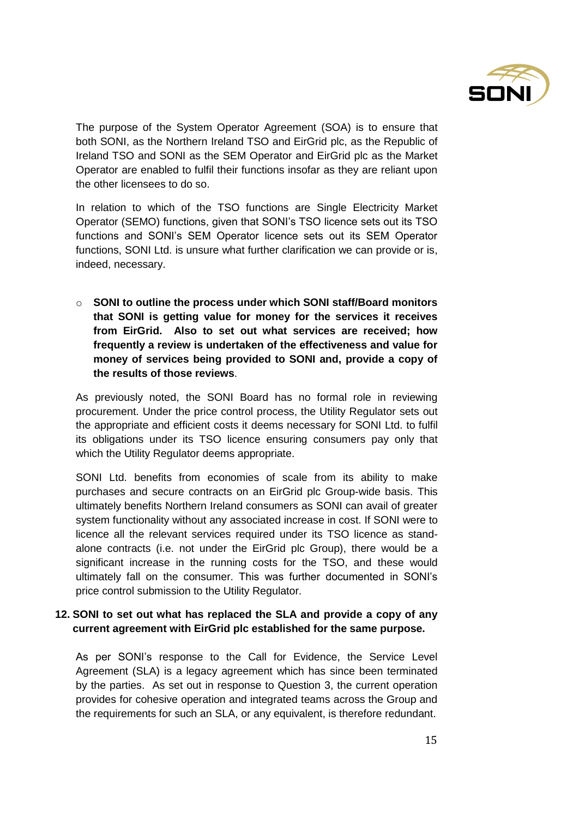

The purpose of the System Operator Agreement (SOA) is to ensure that both SONI, as the Northern Ireland TSO and EirGrid plc, as the Republic of Ireland TSO and SONI as the SEM Operator and EirGrid plc as the Market Operator are enabled to fulfil their functions insofar as they are reliant upon the other licensees to do so.

In relation to which of the TSO functions are Single Electricity Market Operator (SEMO) functions, given that SONI's TSO licence sets out its TSO functions and SONI's SEM Operator licence sets out its SEM Operator functions, SONI Ltd. is unsure what further clarification we can provide or is, indeed, necessary.

o **SONI to outline the process under which SONI staff/Board monitors that SONI is getting value for money for the services it receives from EirGrid. Also to set out what services are received; how frequently a review is undertaken of the effectiveness and value for money of services being provided to SONI and, provide a copy of the results of those reviews**.

As previously noted, the SONI Board has no formal role in reviewing procurement. Under the price control process, the Utility Regulator sets out the appropriate and efficient costs it deems necessary for SONI Ltd. to fulfil its obligations under its TSO licence ensuring consumers pay only that which the Utility Regulator deems appropriate.

SONI Ltd. benefits from economies of scale from its ability to make purchases and secure contracts on an EirGrid plc Group-wide basis. This ultimately benefits Northern Ireland consumers as SONI can avail of greater system functionality without any associated increase in cost. If SONI were to licence all the relevant services required under its TSO licence as standalone contracts (i.e. not under the EirGrid plc Group), there would be a significant increase in the running costs for the TSO, and these would ultimately fall on the consumer. This was further documented in SONI's price control submission to the Utility Regulator.

### **12. SONI to set out what has replaced the SLA and provide a copy of any current agreement with EirGrid plc established for the same purpose.**

As per SONI's response to the Call for Evidence, the Service Level Agreement (SLA) is a legacy agreement which has since been terminated by the parties. As set out in response to Question 3, the current operation provides for cohesive operation and integrated teams across the Group and the requirements for such an SLA, or any equivalent, is therefore redundant.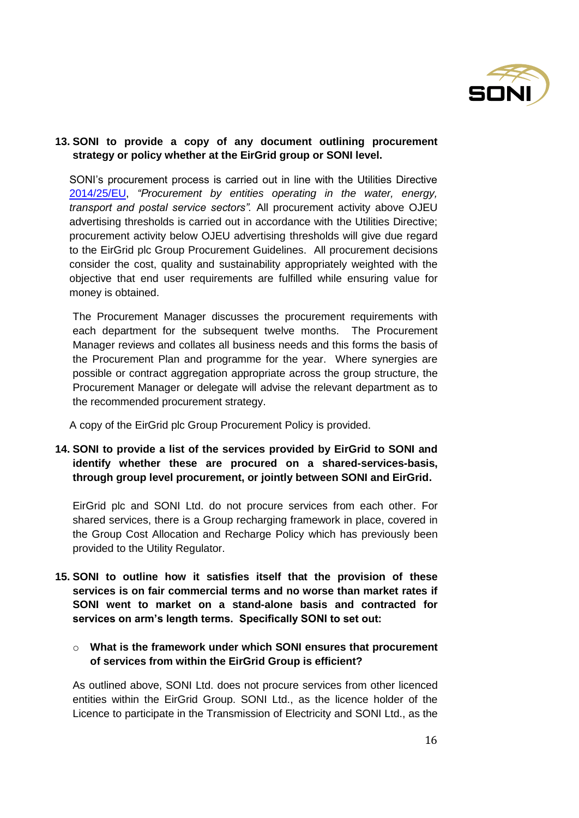

### **13. SONI to provide a copy of any document outlining procurement strategy or policy whether at the EirGrid group or SONI level.**

SONI's procurement process is carried out in line with the Utilities Directive [2014/25/EU,](about:blank) *"Procurement by entities operating in the water, energy, transport and postal service sectors".* All procurement activity above OJEU advertising thresholds is carried out in accordance with the Utilities Directive; procurement activity below OJEU advertising thresholds will give due regard to the EirGrid plc Group Procurement Guidelines. All procurement decisions consider the cost, quality and sustainability appropriately weighted with the objective that end user requirements are fulfilled while ensuring value for money is obtained.

The Procurement Manager discusses the procurement requirements with each department for the subsequent twelve months. The Procurement Manager reviews and collates all business needs and this forms the basis of the Procurement Plan and programme for the year. Where synergies are possible or contract aggregation appropriate across the group structure, the Procurement Manager or delegate will advise the relevant department as to the recommended procurement strategy.

A copy of the EirGrid plc Group Procurement Policy is provided.

# **14. SONI to provide a list of the services provided by EirGrid to SONI and identify whether these are procured on a shared-services-basis, through group level procurement, or jointly between SONI and EirGrid.**

EirGrid plc and SONI Ltd. do not procure services from each other. For shared services, there is a Group recharging framework in place, covered in the Group Cost Allocation and Recharge Policy which has previously been provided to the Utility Regulator.

- **15. SONI to outline how it satisfies itself that the provision of these services is on fair commercial terms and no worse than market rates if SONI went to market on a stand-alone basis and contracted for services on arm's length terms. Specifically SONI to set out:**
	- o **What is the framework under which SONI ensures that procurement of services from within the EirGrid Group is efficient?**

As outlined above, SONI Ltd. does not procure services from other licenced entities within the EirGrid Group. SONI Ltd., as the licence holder of the Licence to participate in the Transmission of Electricity and SONI Ltd., as the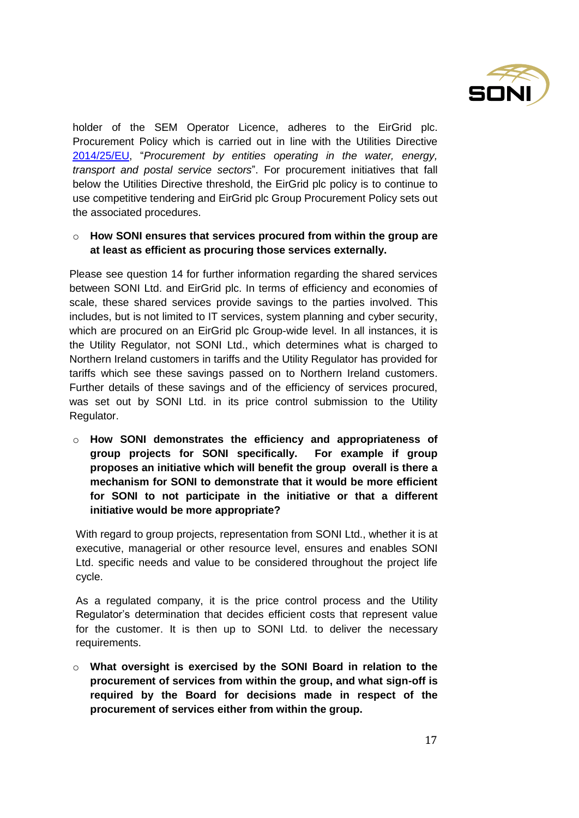

holder of the SEM Operator Licence, adheres to the EirGrid plc. Procurement Policy which is carried out in line with the Utilities Directive [2014/25/EU,](about:blank) "*Procurement by entities operating in the water, energy, transport and postal service sectors*". For procurement initiatives that fall below the Utilities Directive threshold, the EirGrid plc policy is to continue to use competitive tendering and EirGrid plc Group Procurement Policy sets out the associated procedures.

### o **How SONI ensures that services procured from within the group are at least as efficient as procuring those services externally.**

Please see question 14 for further information regarding the shared services between SONI Ltd. and EirGrid plc. In terms of efficiency and economies of scale, these shared services provide savings to the parties involved. This includes, but is not limited to IT services, system planning and cyber security, which are procured on an EirGrid plc Group-wide level. In all instances, it is the Utility Regulator, not SONI Ltd., which determines what is charged to Northern Ireland customers in tariffs and the Utility Regulator has provided for tariffs which see these savings passed on to Northern Ireland customers. Further details of these savings and of the efficiency of services procured, was set out by SONI Ltd. in its price control submission to the Utility Regulator.

o **How SONI demonstrates the efficiency and appropriateness of group projects for SONI specifically. For example if group proposes an initiative which will benefit the group overall is there a mechanism for SONI to demonstrate that it would be more efficient for SONI to not participate in the initiative or that a different initiative would be more appropriate?**

With regard to group projects, representation from SONI Ltd., whether it is at executive, managerial or other resource level, ensures and enables SONI Ltd. specific needs and value to be considered throughout the project life cycle.

As a regulated company, it is the price control process and the Utility Regulator's determination that decides efficient costs that represent value for the customer. It is then up to SONI Ltd. to deliver the necessary requirements.

o **What oversight is exercised by the SONI Board in relation to the procurement of services from within the group, and what sign-off is required by the Board for decisions made in respect of the procurement of services either from within the group.**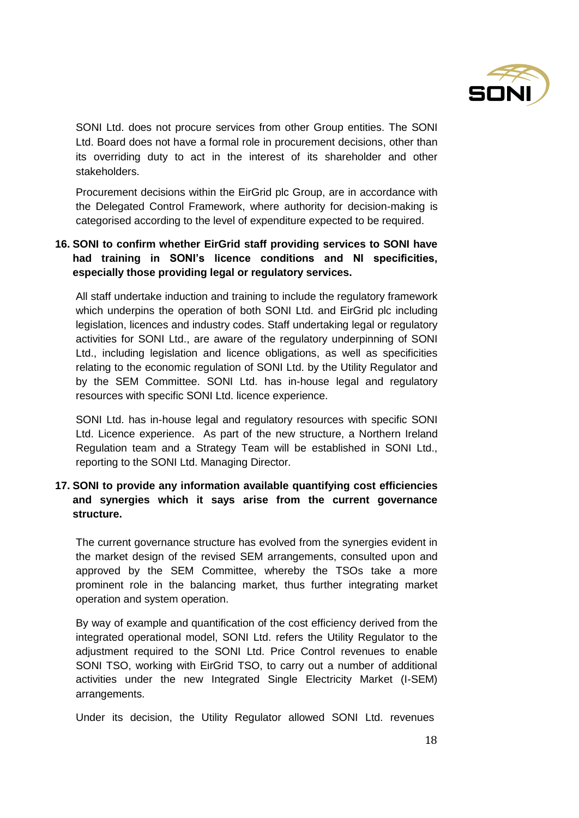

SONI Ltd. does not procure services from other Group entities. The SONI Ltd. Board does not have a formal role in procurement decisions, other than its overriding duty to act in the interest of its shareholder and other stakeholders.

Procurement decisions within the EirGrid plc Group, are in accordance with the Delegated Control Framework, where authority for decision-making is categorised according to the level of expenditure expected to be required.

# **16. SONI to confirm whether EirGrid staff providing services to SONI have had training in SONI's licence conditions and NI specificities, especially those providing legal or regulatory services.**

All staff undertake induction and training to include the regulatory framework which underpins the operation of both SONI Ltd. and EirGrid plc including legislation, licences and industry codes. Staff undertaking legal or regulatory activities for SONI Ltd., are aware of the regulatory underpinning of SONI Ltd., including legislation and licence obligations, as well as specificities relating to the economic regulation of SONI Ltd. by the Utility Regulator and by the SEM Committee. SONI Ltd. has in-house legal and regulatory resources with specific SONI Ltd. licence experience.

SONI Ltd. has in-house legal and regulatory resources with specific SONI Ltd. Licence experience. As part of the new structure, a Northern Ireland Regulation team and a Strategy Team will be established in SONI Ltd., reporting to the SONI Ltd. Managing Director.

# **17. SONI to provide any information available quantifying cost efficiencies and synergies which it says arise from the current governance structure.**

The current governance structure has evolved from the synergies evident in the market design of the revised SEM arrangements, consulted upon and approved by the SEM Committee, whereby the TSOs take a more prominent role in the balancing market, thus further integrating market operation and system operation.

By way of example and quantification of the cost efficiency derived from the integrated operational model, SONI Ltd. refers the Utility Regulator to the adjustment required to the SONI Ltd. Price Control revenues to enable SONI TSO, working with EirGrid TSO, to carry out a number of additional activities under the new Integrated Single Electricity Market (I-SEM) arrangements.

Under its decision, the Utility Regulator allowed SONI Ltd. revenues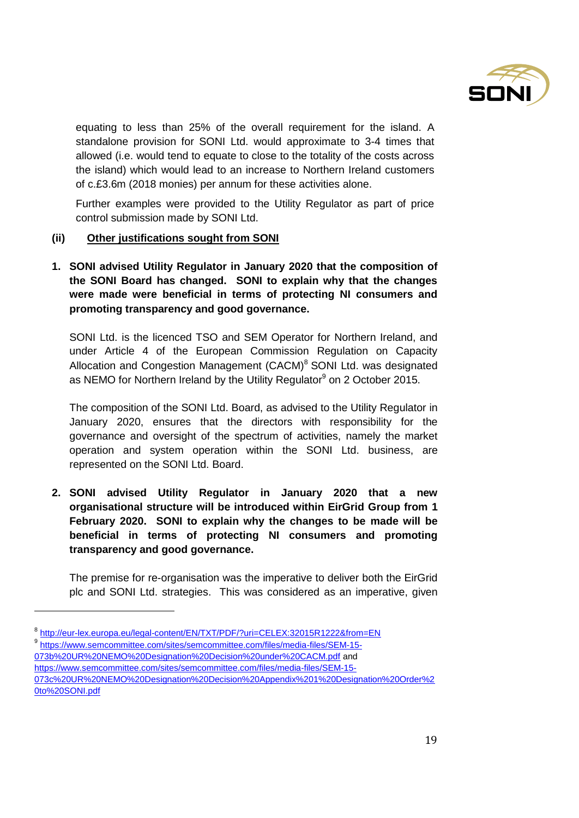

equating to less than 25% of the overall requirement for the island. A standalone provision for SONI Ltd. would approximate to 3-4 times that allowed (i.e. would tend to equate to close to the totality of the costs across the island) which would lead to an increase to Northern Ireland customers of c.£3.6m (2018 monies) per annum for these activities alone.

Further examples were provided to the Utility Regulator as part of price control submission made by SONI Ltd.

#### **(ii) Other justifications sought from SONI**

**1. SONI advised Utility Regulator in January 2020 that the composition of the SONI Board has changed. SONI to explain why that the changes were made were beneficial in terms of protecting NI consumers and promoting transparency and good governance.**

SONI Ltd. is the licenced TSO and SEM Operator for Northern Ireland, and under Article 4 of the European Commission Regulation on Capacity Allocation and Congestion Management (CACM)<sup>8</sup> SONI Ltd. was designated as NEMO for Northern Ireland by the Utility Regulator<sup>9</sup> on 2 October 2015.

The composition of the SONI Ltd. Board, as advised to the Utility Regulator in January 2020, ensures that the directors with responsibility for the governance and oversight of the spectrum of activities, namely the market operation and system operation within the SONI Ltd. business, are represented on the SONI Ltd. Board.

**2. SONI advised Utility Regulator in January 2020 that a new organisational structure will be introduced within EirGrid Group from 1 February 2020. SONI to explain why the changes to be made will be beneficial in terms of protecting NI consumers and promoting transparency and good governance.**

The premise for re-organisation was the imperative to deliver both the EirGrid plc and SONI Ltd. strategies. This was considered as an imperative, given

<sup>9</sup> [https://www.semcommittee.com/sites/semcommittee.com/files/media-files/SEM-15-](about:blank)

l

[https://www.semcommittee.com/sites/semcommittee.com/files/media-files/SEM-15-](about:blank)

<sup>&</sup>lt;sup>8</sup> http://eur-lex.europa.eu/legal-content/EN/TXT/PDF/?uri=CELEX:32015R1222&from=EN

[<sup>073</sup>b%20UR%20NEMO%20Designation%20Decision%20under%20CACM.pdf](about:blank) and

[<sup>073</sup>c%20UR%20NEMO%20Designation%20Decision%20Appendix%201%20Designation%20Order%2](about:blank) [0to%20SONI.pdf](about:blank)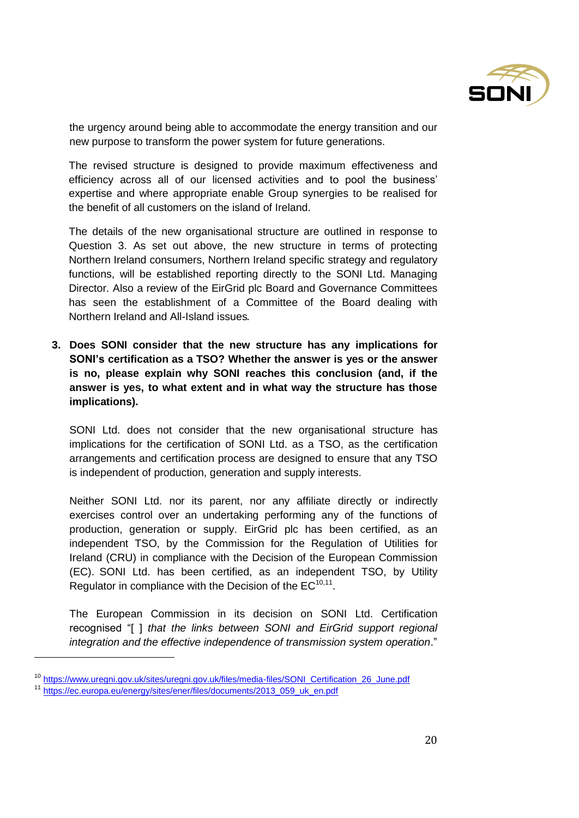

the urgency around being able to accommodate the energy transition and our new purpose to transform the power system for future generations.

The revised structure is designed to provide maximum effectiveness and efficiency across all of our licensed activities and to pool the business' expertise and where appropriate enable Group synergies to be realised for the benefit of all customers on the island of Ireland.

The details of the new organisational structure are outlined in response to Question 3. As set out above, the new structure in terms of protecting Northern Ireland consumers, Northern Ireland specific strategy and regulatory functions, will be established reporting directly to the SONI Ltd. Managing Director. Also a review of the EirGrid plc Board and Governance Committees has seen the establishment of a Committee of the Board dealing with Northern Ireland and All-Island issues.

**3. Does SONI consider that the new structure has any implications for SONI's certification as a TSO? Whether the answer is yes or the answer is no, please explain why SONI reaches this conclusion (and, if the answer is yes, to what extent and in what way the structure has those implications).**

SONI Ltd. does not consider that the new organisational structure has implications for the certification of SONI Ltd. as a TSO, as the certification arrangements and certification process are designed to ensure that any TSO is independent of production, generation and supply interests.

Neither SONI Ltd. nor its parent, nor any affiliate directly or indirectly exercises control over an undertaking performing any of the functions of production, generation or supply. EirGrid plc has been certified, as an independent TSO, by the Commission for the Regulation of Utilities for Ireland (CRU) in compliance with the Decision of the European Commission (EC). SONI Ltd. has been certified, as an independent TSO, by Utility Regulator in compliance with the Decision of the  $EC^{10,11}$ .

The European Commission in its decision on SONI Ltd. Certification recognised "[ ] *that the links between SONI and EirGrid support regional integration and the effective independence of transmission system operation*."

l

<sup>10</sup> [https://www.uregni.gov.uk/sites/uregni.gov.uk/files/media-files/SONI\\_Certification\\_26\\_June.pdf](about:blank)

<sup>11</sup> [https://ec.europa.eu/energy/sites/ener/files/documents/2013\\_059\\_uk\\_en.pdf](about:blank)